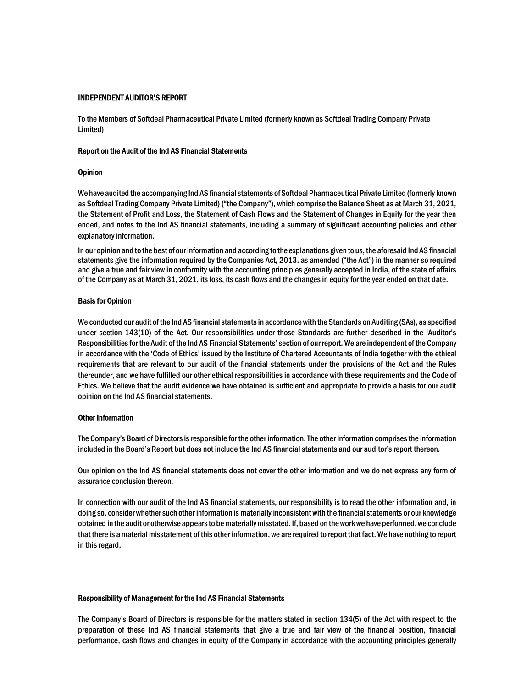# INDEPENDENT AUDITOR'S REPORT

To the Members of Softdeal Pharmaceutical Private Limited (formerly known as Softdeal Trading Company Private Limited)

#### Report on the Audit of the Ind AS Financial Statements

# Opinion

We have audited the accompanying Ind AS financial statements of Softdeal Pharmaceutical Private Limited (formerly known as Softdeal Trading Company Private Limited) ("the Company"), which comprise the Balance Sheet as at March 31, 2021, the Statement of Profit and Loss, the Statement of Cash Flows and the Statement of Changes in Equity for the year then ended, and notes to the Ind AS financial statements, including a summary of significant accounting policies and other explanatory information.

In our opinion and to the best of our information and according to the explanations given to us, the aforesaid Ind AS financial statements give the information required by the Companies Act, 2013, as amended ("the Act") in the manner so required and give a true and fair view in conformity with the accounting principles generally accepted in India, of the state of affairs of the Company as at March 31, 2021, its loss, its cash flows and the changes in equity for the year ended on that date.

# Basis for Opinion

We conducted our audit of the Ind AS financial statements in accordance with the Standards on Auditing (SAs), as specified under section 143(10) of the Act. Our responsibilities under those Standards are further described in the 'Auditor's Responsibilities for the Audit of the Ind AS Financial Statements'section of our report. We are independent of the Company in accordance with the 'Code of Ethics' issued by the Institute of Chartered Accountants of India together with the ethical requirements that are relevant to our audit of the financial statements under the provisions of the Act and the Rules thereunder, and we have fulfilled our other ethical responsibilities in accordance with these requirements and the Code of Ethics. We believe that the audit evidence we have obtained is sufficient and appropriate to provide a basis for our audit opinion on the Ind AS financial statements.

#### Other Information

The Company's Board of Directors is responsible for the other information. The other information comprises the information included in the Board's Report but does not include the Ind AS financial statements and our auditor's report thereon.

Our opinion on the Ind AS financial statements does not cover the other information and we do not express any form of assurance conclusion thereon.

In connection with our audit of the Ind AS financial statements, our responsibility is to read the other information and, in doing so, consider whether such other information is materially inconsistent with the financial statements or our knowledge obtained in the audit or otherwise appears to be materially misstated. If, based on the work we have performed, we conclude that there is a material misstatement of this other information, we are required to report that fact. We have nothing to report in this regard.

#### Responsibility of Management for the Ind AS Financial Statements

The Company's Board of Directors is responsible for the matters stated in section 134(5) of the Act with respect to the preparation of these Ind AS financial statements that give a true and fair view of the financial position, financial performance, cash flows and changes in equity of the Company in accordance with the accounting principles generally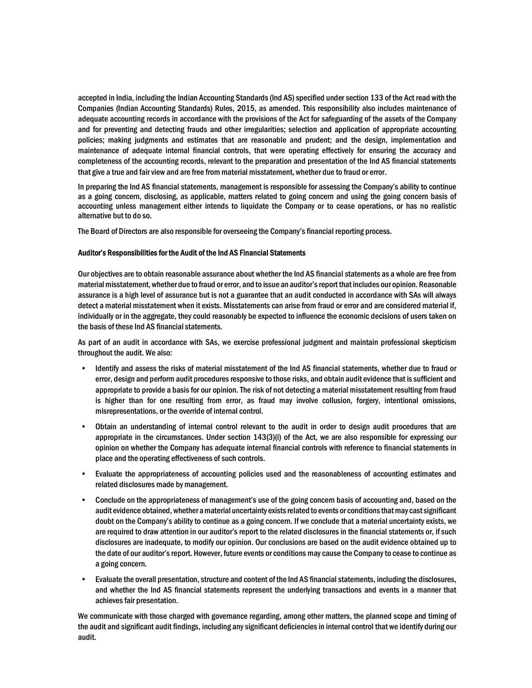accepted in India, including the Indian Accounting Standards (Ind AS) specified under section 133 of the Act read with the Companies (Indian Accounting Standards) Rules, 2015, as amended. This responsibility also includes maintenance of adequate accounting records in accordance with the provisions of the Act for safeguarding of the assets of the Company and for preventing and detecting frauds and other irregularities; selection and application of appropriate accounting policies; making judgments and estimates that are reasonable and prudent; and the design, implementation and maintenance of adequate internal financial controls, that were operating effectively for ensuring the accuracy and completeness of the accounting records, relevant to the preparation and presentation of the Ind AS financial statements that give a true and fair view and are free from material misstatement, whether due to fraud or error.

In preparing the Ind AS financial statements, management is responsible for assessing the Company's ability to continue as a going concern, disclosing, as applicable, matters related to going concern and using the going concern basis of accounting unless management either intends to liquidate the Company or to cease operations, or has no realistic alternative but to do so.

The Board of Directors are also responsible for overseeing the Company's financial reporting process.

# Auditor's Responsibilities for the Audit of the Ind AS Financial Statements

Our objectives are to obtain reasonable assurance about whether the Ind AS financial statements as a whole are free from material misstatement, whether due to fraud or error, and to issue an auditor's report that includes our opinion. Reasonable assurance is a high level of assurance but is not a guarantee that an audit conducted in accordance with SAs will always detect a material misstatement when it exists. Misstatements can arise from fraud or error and are considered material if, individually or in the aggregate, they could reasonably be expected to influence the economic decisions of users taken on the basis of these Ind AS financial statements.

As part of an audit in accordance with SAs, we exercise professional judgment and maintain professional skepticism throughout the audit. We also:

- Identify and assess the risks of material misstatement of the Ind AS financial statements, whether due to fraud or error, design and perform audit procedures responsive to those risks, and obtain audit evidence that is sufficient and appropriate to provide a basis for our opinion. The risk of not detecting a material misstatement resulting from fraud is higher than for one resulting from error, as fraud may involve collusion, forgery, intentional omissions, misrepresentations, or the override of internal control.
- Obtain an understanding of internal control relevant to the audit in order to design audit procedures that are appropriate in the circumstances. Under section 143(3)(i) of the Act, we are also responsible for expressing our opinion on whether the Company has adequate internal financial controls with reference to financial statements in place and the operating effectiveness of such controls.
- Evaluate the appropriateness of accounting policies used and the reasonableness of accounting estimates and related disclosures made by management.
- Conclude on the appropriateness of management's use of the going concern basis of accounting and, based on the audit evidence obtained, whether a material uncertainty exists related to events or conditions that may cast significant doubt on the Company's ability to continue as a going concern. If we conclude that a material uncertainty exists, we are required to draw attention in our auditor's report to the related disclosures in the financial statements or, if such disclosures are inadequate, to modify our opinion. Our conclusions are based on the audit evidence obtained up to the date of our auditor's report. However, future events or conditions may cause the Company to cease to continue as a going concern.
- Evaluate the overall presentation, structure and content of the Ind AS financial statements, including the disclosures, and whether the Ind AS financial statements represent the underlying transactions and events in a manner that achieves fair presentation.

We communicate with those charged with governance regarding, among other matters, the planned scope and timing of the audit and significant audit findings, including any significant deficiencies in internal control that we identify during our audit.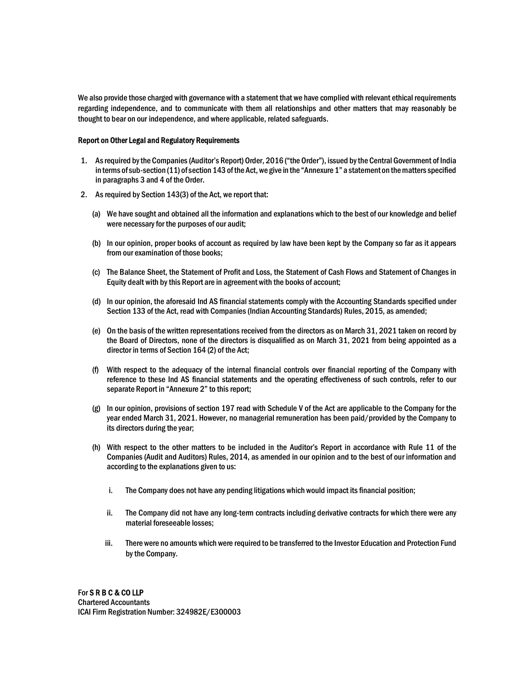We also provide those charged with governance with a statement that we have complied with relevant ethical requirements regarding independence, and to communicate with them all relationships and other matters that may reasonably be thought to bear on our independence, and where applicable, related safeguards.

# Report on Other Legal and Regulatory Requirements

- 1. As required by the Companies (Auditor's Report) Order, 2016 ("the Order"), issued by the Central Government of India in terms of sub-section (11) of section 143 of the Act, we give in the "Annexure 1" a statement on the matters specified in paragraphs 3 and 4 of the Order.
- 2. As required by Section 143(3) of the Act, we report that:
	- (a) We have sought and obtained all the information and explanations which to the best of our knowledge and belief were necessary for the purposes of our audit;
	- (b) In our opinion, proper books of account as required by law have been kept by the Company so far as it appears from our examination of those books;
	- (c) The Balance Sheet, the Statement of Profit and Loss, the Statement of Cash Flows and Statement of Changes in Equity dealt with by this Report are in agreement with the books of account;
	- (d) In our opinion, the aforesaid Ind AS financial statements comply with the Accounting Standards specified under Section 133 of the Act, read with Companies (Indian Accounting Standards) Rules, 2015, as amended;
	- (e) On the basis of the written representations received from the directors as on March 31, 2021 taken on record by the Board of Directors, none of the directors is disqualified as on March 31, 2021 from being appointed as a director in terms of Section 164 (2) of the Act;
	- (f) With respect to the adequacy of the internal financial controls over financial reporting of the Company with reference to these Ind AS financial statements and the operating effectiveness of such controls, refer to our separate Report in "Annexure 2" to this report;
	- (g) In our opinion, provisions of section 197 read with Schedule V of the Act are applicable to the Company for the year ended March 31, 2021. However, no managerial remuneration has been paid/provided by the Company to its directors during the year;
	- (h) With respect to the other matters to be included in the Auditor's Report in accordance with Rule 11 of the Companies (Audit and Auditors) Rules, 2014, as amended in our opinion and to the best of our information and according to the explanations given to us:
		- i. The Company does not have any pending litigations which would impact its financial position;
		- ii. The Company did not have any long-term contracts including derivative contracts for which there were any material foreseeable losses;
		- iii. There were no amounts which were required to be transferred to the Investor Education and Protection Fund by the Company.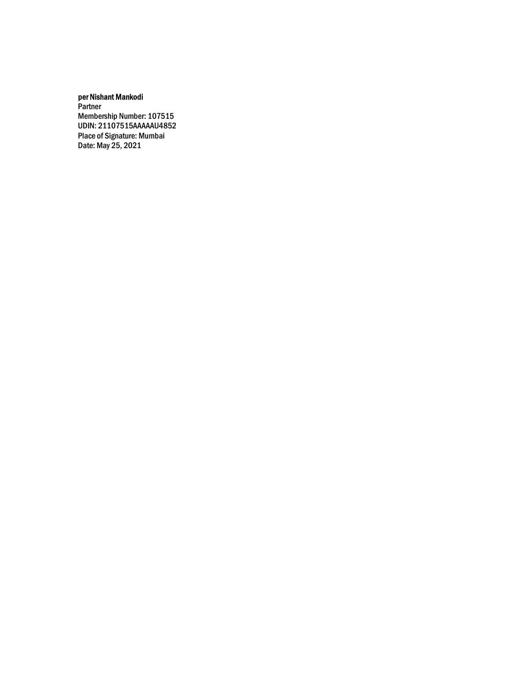#### per Nishant Mankodi

Partner Membership Number: 107515 UDIN: 21107515AAAAAU4852 Place of Signature: Mumbai Date: May 25, 2021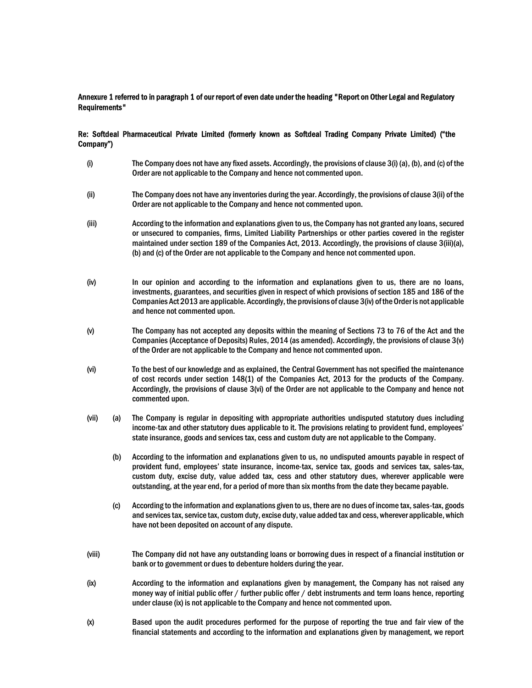# Annexure 1 referred to in paragraph 1 of our report of even date under the heading "Report on Other Legal and Regulatory Requirements"

# Re: Softdeal Pharmaceutical Private Limited (formerly known as Softdeal Trading Company Private Limited) ("the Company")

- (i) The Company does not have any fixed assets. Accordingly, the provisions of clause 3(i) (a), (b), and (c) of the Order are not applicable to the Company and hence not commented upon.
- (ii) The Company does not have anyinventories during the year. Accordingly, the provisions of clause 3(ii) of the Order are not applicable to the Company and hence not commented upon.
- (iii) According to the information and explanations given to us, the Company has not granted any loans, secured or unsecured to companies, firms, Limited Liability Partnerships or other parties covered in the register maintained under section 189 of the Companies Act, 2013. Accordingly, the provisions of clause 3(iii)(a), (b) and (c) of the Order are not applicable to the Company and hence not commented upon.
- (iv) In our opinion and according to the information and explanations given to us, there are no loans, investments, guarantees, and securities given in respect of which provisions of section 185 and 186 of the Companies Act 2013 are applicable. Accordingly, the provisions of clause 3(iv) of the Order is not applicable and hence not commented upon.
- (v) The Company has not accepted any deposits within the meaning of Sections 73 to 76 of the Act and the Companies (Acceptance of Deposits) Rules, 2014 (as amended). Accordingly, the provisions of clause 3(v) of the Order are not applicable to the Company and hence not commented upon.
- (vi) To the best of our knowledge and as explained, the Central Government has not specified the maintenance of cost records under section 148(1) of the Companies Act, 2013 for the products of the Company. Accordingly, the provisions of clause 3(vi) of the Order are not applicable to the Company and hence not commented upon.
- (vii) (a) The Company is regular in depositing with appropriate authorities undisputed statutory dues including income-tax and other statutory dues applicable to it. The provisions relating to provident fund, employees' state insurance, goods and services tax, cess and custom duty are not applicable to the Company.
	- (b) According to the information and explanations given to us, no undisputed amounts payable in respect of provident fund, employees' state insurance, income-tax, service tax, goods and services tax, sales-tax, custom duty, excise duty, value added tax, cess and other statutory dues, wherever applicable were outstanding, at the year end, for a period of more than six months from the date they became payable.
	- (c) According to the information and explanations given to us, there are no dues of income tax, sales-tax, goods and services tax, service tax, custom duty, excise duty, value added tax and cess, wherever applicable, which have not been deposited on account of any dispute.
- (viii) The Company did not have any outstanding loans or borrowing dues in respect of a financial institution or bank or to government or dues to debenture holders during the year.
- (ix) According to the information and explanations given by management, the Company has not raised any money way of initial public offer / further public offer / debt instruments and term loans hence, reporting under clause (ix) is not applicable to the Company and hence not commented upon.
- (x) Based upon the audit procedures performed for the purpose of reporting the true and fair view of the financial statements and according to the information and explanations given by management, we report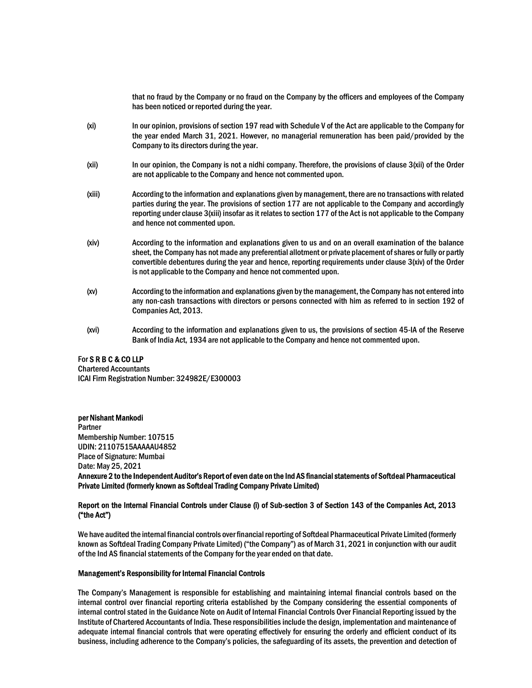that no fraud by the Company or no fraud on the Company by the officers and employees of the Company has been noticed or reported during the year.

- (xi) In our opinion, provisions of section 197 read with Schedule V of the Act are applicable to the Company for the year ended March 31, 2021. However, no managerial remuneration has been paid/provided by the Company to its directors during the year.
- (xii) In our opinion, the Company is not a nidhi company. Therefore, the provisions of clause 3(xii) of the Order are not applicable to the Company and hence not commented upon.
- (xiii) According to the information and explanations given by management, there are no transactions with related parties during the year. The provisions of section 177 are not applicable to the Company and accordingly reporting under clause 3(xiii) insofar as it relates to section 177 of the Act is not applicable to the Company and hence not commented upon.
- (xiv) According to the information and explanations given to us and on an overall examination of the balance sheet, the Company has not made any preferential allotment or private placement of shares or fully or partly convertible debentures during the year and hence, reporting requirements under clause 3(xiv) of the Order is not applicable to the Company and hence not commented upon.
- (xv) According to the information and explanations given by the management, the Company has not entered into any non-cash transactions with directors or persons connected with him as referred to in section 192 of Companies Act, 2013.
- (xvi) According to the information and explanations given to us, the provisions of section 45-IA of the Reserve Bank of India Act, 1934 are not applicable to the Company and hence not commented upon.

# For S R B C & CO LLP

Chartered Accountants

ICAI Firm Registration Number: 324982E/E300003

# per Nishant Mankodi

Partner Membership Number: 107515 UDIN: 21107515AAAAAU4852 Place of Signature: Mumbai Date: May 25, 2021 Annexure 2 to the Independent Auditor's Report of even date on the Ind AS financial statements of Softdeal Pharmaceutical Private Limited (formerly known as Softdeal Trading Company Private Limited)

### Report on the Internal Financial Controls under Clause (i) of Sub-section 3 of Section 143 of the Companies Act, 2013 ("the Act")

We have audited the internal financial controls over financial reporting of Softdeal Pharmaceutical Private Limited (formerly known as Softdeal Trading Company Private Limited) ("the Company") as of March 31, 2021 in conjunction with our audit of the Ind AS financial statements of the Company for the year ended on that date.

#### Management's Responsibility for Internal Financial Controls

The Company's Management is responsible for establishing and maintaining internal financial controls based on the internal control over financial reporting criteria established by the Company considering the essential components of internal control stated in the Guidance Note on Audit of Internal Financial Controls Over Financial Reporting issued by the Institute of Chartered Accountants of India. These responsibilities include the design, implementation and maintenance of adequate internal financial controls that were operating effectively for ensuring the orderly and efficient conduct of its business, including adherence to the Company's policies, the safeguarding of its assets, the prevention and detection of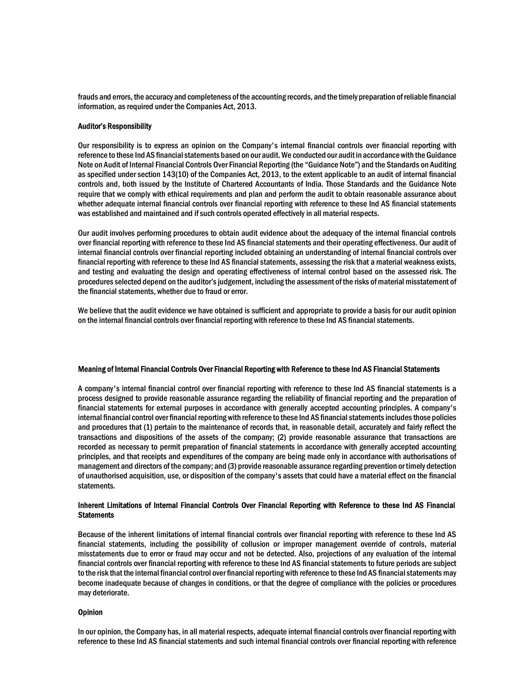frauds and errors, the accuracy and completeness of the accounting records, and the timely preparation of reliable financial information, as required under the Companies Act, 2013.

#### Auditor's Responsibility

Our responsibility is to express an opinion on the Company's internal financial controls over financial reporting with reference to these Ind AS financial statements based on our audit. We conducted our audit in accordance with the Guidance Note on Audit of Internal Financial Controls Over Financial Reporting (the "Guidance Note") and the Standards on Auditing as specified under section 143(10) of the Companies Act, 2013, to the extent applicable to an audit of internal financial controls and, both issued by the Institute of Chartered Accountants of India. Those Standards and the Guidance Note require that we comply with ethical requirements and plan and perform the audit to obtain reasonable assurance about whether adequate internal financial controls over financial reporting with reference to these Ind AS financial statements was established and maintained and if such controls operated effectively in all material respects.

Our audit involves performing procedures to obtain audit evidence about the adequacy of the internal financial controls over financial reporting with reference to these Ind AS financial statements and their operating effectiveness. Our audit of internal financial controls over financial reporting included obtaining an understanding of internal financial controls over financial reporting with reference to these Ind AS financial statements, assessing the risk that a material weakness exists, and testing and evaluating the design and operating effectiveness of internal control based on the assessed risk. The procedures selected depend on the auditor's judgement, including the assessment of the risks of material misstatement of the financial statements, whether due to fraud or error.

We believe that the audit evidence we have obtained is sufficient and appropriate to provide a basis for our audit opinion on the internal financial controls over financial reporting with reference to these Ind AS financial statements.

#### Meaning of Internal Financial Controls Over Financial Reporting with Reference to these Ind AS Financial Statements

A company's internal financial control over financial reporting with reference to these Ind AS financial statements is a process designed to provide reasonable assurance regarding the reliability of financial reporting and the preparation of financial statements for external purposes in accordance with generally accepted accounting principles. A company's internal financial control over financial reporting with reference to these Ind AS financial statements includes those policies and procedures that (1) pertain to the maintenance of records that, in reasonable detail, accurately and fairly reflect the transactions and dispositions of the assets of the company; (2) provide reasonable assurance that transactions are recorded as necessary to permit preparation of financial statements in accordance with generally accepted accounting principles, and that receipts and expenditures of the company are being made only in accordance with authorisations of management and directors of the company; and (3) provide reasonable assurance regarding prevention or timely detection of unauthorised acquisition, use, or disposition of the company's assets that could have a material effect on the financial statements.

### Inherent Limitations of Internal Financial Controls Over Financial Reporting with Reference to these Ind AS Financial **Statements**

Because of the inherent limitations of internal financial controls over financial reporting with reference to these Ind AS financial statements, including the possibility of collusion or improper management override of controls, material misstatements due to error or fraud may occur and not be detected. Also, projections of any evaluation of the internal financial controls over financial reporting with reference to these Ind AS financial statements to future periods are subject to the risk that the internal financial control over financial reporting with reference to these Ind AS financial statements may become inadequate because of changes in conditions, or that the degree of compliance with the policies or procedures may deteriorate.

#### **Opinion**

In our opinion, the Company has, in all material respects, adequate internal financial controls over financial reporting with reference to these Ind AS financial statements and such internal financial controls over financial reporting with reference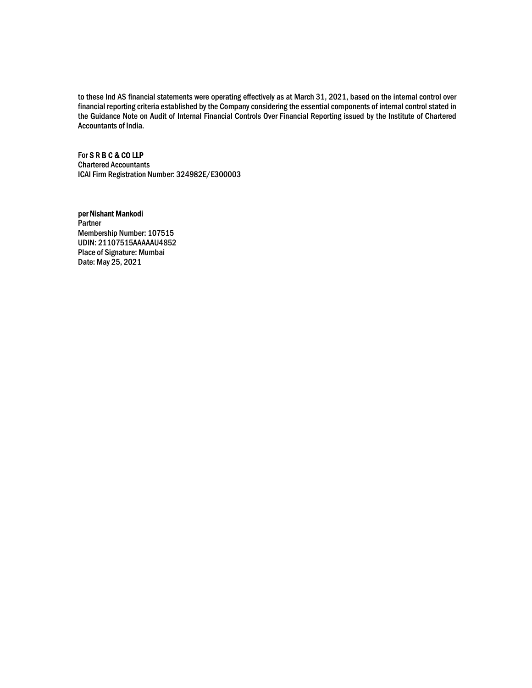to these Ind AS financial statements were operating effectively as at March 31, 2021, based on the internal control over financial reporting criteria established by the Company considering the essential components of internal control stated in the Guidance Note on Audit of Internal Financial Controls Over Financial Reporting issued by the Institute of Chartered Accountants of India.

# For S R B C & CO LLP

Chartered Accountants ICAI Firm Registration Number: 324982E/E300003

# per Nishant Mankodi

Partner Membership Number: 107515 UDIN: 21107515AAAAAU4852 Place of Signature: Mumbai Date: May 25, 2021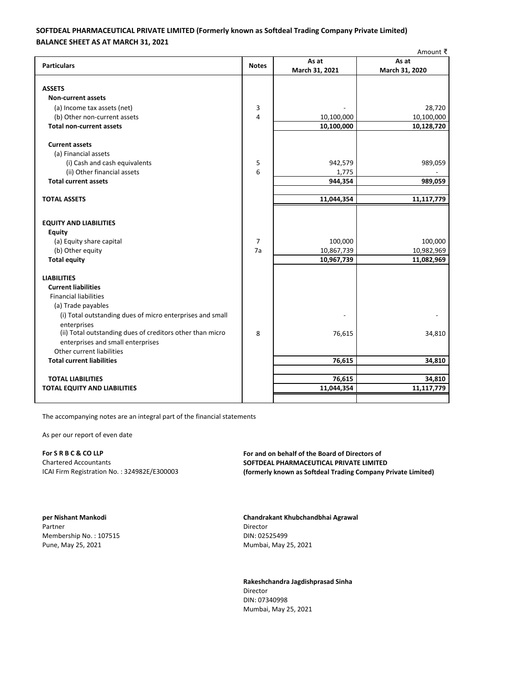# **SOFTDEAL PHARMACEUTICAL PRIVATE LIMITED (Formerly known as Softdeal Trading Company Private Limited) BALANCE SHEET AS AT MARCH 31, 2021**

|                                                           |                |                | Amount ₹       |
|-----------------------------------------------------------|----------------|----------------|----------------|
| <b>Particulars</b>                                        | <b>Notes</b>   | As at          | As at          |
|                                                           |                | March 31, 2021 | March 31, 2020 |
|                                                           |                |                |                |
| <b>ASSETS</b>                                             |                |                |                |
| <b>Non-current assets</b>                                 |                |                |                |
| (a) Income tax assets (net)                               | 3              |                | 28,720         |
| (b) Other non-current assets                              | 4              | 10,100,000     | 10,100,000     |
| <b>Total non-current assets</b>                           |                | 10,100,000     | 10,128,720     |
| <b>Current assets</b>                                     |                |                |                |
| (a) Financial assets                                      |                |                |                |
| (i) Cash and cash equivalents                             | 5              | 942,579        | 989,059        |
| (ii) Other financial assets                               | 6              | 1,775          |                |
| <b>Total current assets</b>                               |                | 944,354        | 989,059        |
|                                                           |                |                |                |
| <b>TOTAL ASSETS</b>                                       |                | 11,044,354     | 11,117,779     |
|                                                           |                |                |                |
| <b>EQUITY AND LIABILITIES</b>                             |                |                |                |
| Equity                                                    |                |                |                |
| (a) Equity share capital                                  | $\overline{7}$ | 100,000        | 100,000        |
| (b) Other equity                                          | 7a             | 10,867,739     | 10,982,969     |
| <b>Total equity</b>                                       |                | 10,967,739     | 11,082,969     |
|                                                           |                |                |                |
| <b>LIABILITIES</b>                                        |                |                |                |
| <b>Current liabilities</b>                                |                |                |                |
| <b>Financial liabilities</b>                              |                |                |                |
| (a) Trade payables                                        |                |                |                |
| (i) Total outstanding dues of micro enterprises and small |                |                |                |
| enterprises                                               |                |                |                |
| (ii) Total outstanding dues of creditors other than micro | 8              | 76,615         | 34,810         |
| enterprises and small enterprises                         |                |                |                |
| Other current liabilities                                 |                |                |                |
| <b>Total current liabilities</b>                          |                | 76,615         | 34,810         |
| <b>TOTAL LIABILITIES</b>                                  |                | 76,615         | 34,810         |
| <b>TOTAL EQUITY AND LIABILITIES</b>                       |                | 11,044,354     | 11,117,779     |
|                                                           |                |                |                |
|                                                           |                |                |                |

The accompanying notes are an integral part of the financial statements

As per our report of even date

**For S R B C & CO LLP For and on behalf of the Board of Directors of**  Chartered Accountants **SOFTDEAL PHARMACEUTICAL PRIVATE LIMITED** ICAI Firm Registration No. : 324982E/E300003 **(formerly known as Softdeal Trading Company Private Limited)**

Partner Director Membership No.: 107515 DIN: 02525499 Pune, May 25, 2021 **Mumbai**, May 25, 2021

**per Nishant Mankodi Chandrakant Khubchandbhai Agrawal** 

**Rakeshchandra Jagdishprasad Sinha**  Director DIN: 07340998 Mumbai, May 25, 2021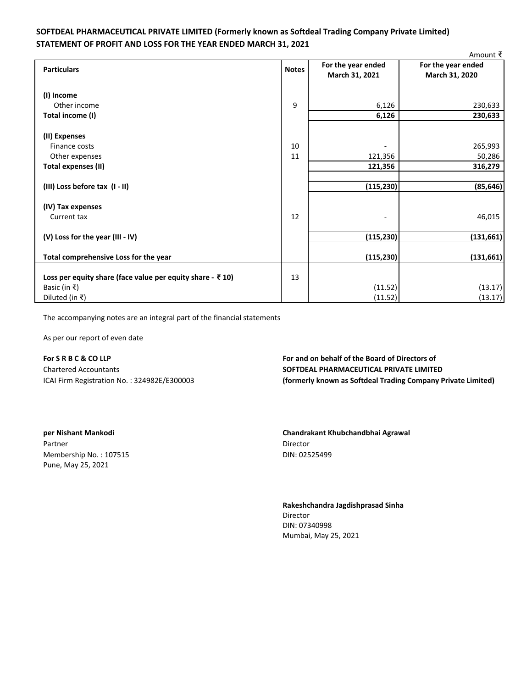# **SOFTDEAL PHARMACEUTICAL PRIVATE LIMITED (Formerly known as Softdeal Trading Company Private Limited) STATEMENT OF PROFIT AND LOSS FOR THE YEAR ENDED MARCH 31, 2021**

|                                                                         |              |                          | Amount ₹           |
|-------------------------------------------------------------------------|--------------|--------------------------|--------------------|
| <b>Particulars</b>                                                      | <b>Notes</b> | For the year ended       | For the year ended |
|                                                                         |              | March 31, 2021           | March 31, 2020     |
|                                                                         |              |                          |                    |
| (I) Income                                                              |              |                          |                    |
| Other income                                                            | 9            | 6,126                    | 230,633            |
| Total income (I)                                                        |              | 6,126                    | 230,633            |
| (II) Expenses                                                           |              |                          |                    |
| Finance costs                                                           | 10           |                          | 265,993            |
| Other expenses                                                          | 11           | 121,356                  | 50,286             |
| Total expenses (II)                                                     |              | 121,356                  | 316,279            |
| (III) Loss before tax (I - II)                                          |              | (115, 230)               | (85, 646)          |
| (IV) Tax expenses<br>Current tax                                        | 12           | $\overline{\phantom{a}}$ | 46,015             |
|                                                                         |              |                          |                    |
| (V) Loss for the year (III - IV)                                        |              | (115, 230)               | (131, 661)         |
| Total comprehensive Loss for the year                                   |              | (115, 230)               | (131, 661)         |
| Loss per equity share (face value per equity share - $\overline{z}$ 10) | 13           |                          |                    |
| Basic (in ₹)                                                            |              | (11.52)                  | (13.17)            |
| Diluted (in ₹)                                                          |              | (11.52)                  | (13.17)            |

The accompanying notes are an integral part of the financial statements

As per our report of even date

**For S R B C & CO LLP For and on behalf of the Board of Directors of**  Chartered Accountants **SOFTDEAL PHARMACEUTICAL PRIVATE LIMITED** ICAI Firm Registration No. : 324982E/E300003 **(formerly known as Softdeal Trading Company Private Limited)**

Partner Director Membership No.: 107515 DIN: 02525499 Pune, May 25, 2021

**per Nishant Mankodi Chandrakant Khubchandbhai Agrawal**

# **Rakeshchandra Jagdishprasad Sinha** Director

DIN: 07340998 Mumbai, May 25, 2021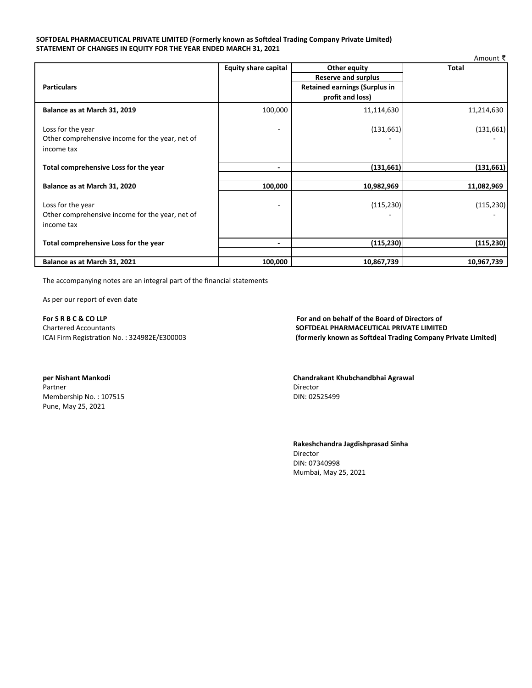# **SOFTDEAL PHARMACEUTICAL PRIVATE LIMITED (Formerly known as Softdeal Trading Company Private Limited) STATEMENT OF CHANGES IN EQUITY FOR THE YEAR ENDED MARCH 31, 2021**

|                                                 |                             |                                      | Amount ₹     |
|-------------------------------------------------|-----------------------------|--------------------------------------|--------------|
|                                                 | <b>Equity share capital</b> | Other equity                         | <b>Total</b> |
|                                                 |                             | <b>Reserve and surplus</b>           |              |
| <b>Particulars</b>                              |                             | <b>Retained earnings (Surplus in</b> |              |
|                                                 |                             | profit and loss)                     |              |
| Balance as at March 31, 2019                    | 100,000                     | 11,114,630                           | 11,214,630   |
| Loss for the year                               | $\overline{\phantom{a}}$    | (131, 661)                           | (131, 661)   |
| Other comprehensive income for the year, net of |                             |                                      |              |
| income tax                                      |                             |                                      |              |
|                                                 |                             |                                      |              |
| Total comprehensive Loss for the year           |                             | (131,661)                            | (131, 661)   |
|                                                 |                             |                                      |              |
| Balance as at March 31, 2020                    | 100,000                     | 10,982,969                           | 11,082,969   |
|                                                 |                             |                                      |              |
| Loss for the year                               |                             | (115, 230)                           | (115, 230)   |
| Other comprehensive income for the year, net of |                             |                                      |              |
| income tax                                      |                             |                                      |              |
| Total comprehensive Loss for the year           | $\overline{\phantom{a}}$    | (115, 230)                           | (115, 230)   |
|                                                 |                             |                                      |              |
| Balance as at March 31, 2021                    | 100,000                     | 10,867,739                           | 10,967,739   |

The accompanying notes are an integral part of the financial statements

As per our report of even date

**For S R B C & CO LLP For and on behalf of the Board of Directors of** 

Chartered Accountants **SOFTDEAL PHARMACEUTICAL PRIVATE LIMITED** ICAI Firm Registration No. : 324982E/E300003 **(formerly known as Softdeal Trading Company Private Limited)**

Partner Director Membership No.: 107515 DIN: 02525499 Pune, May 25, 2021

**per Nishant Mankodi Chandrakant Khubchandbhai Agrawal**

**Rakeshchandra Jagdishprasad Sinha** Director DIN: 07340998 Mumbai, May 25, 2021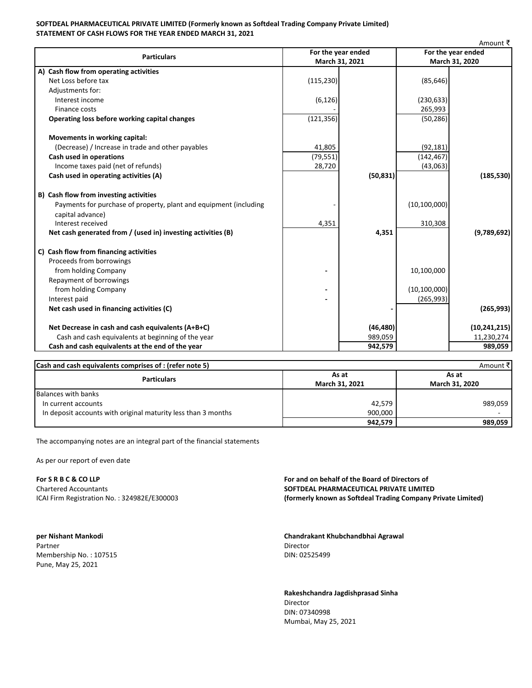### **SOFTDEAL PHARMACEUTICAL PRIVATE LIMITED (Formerly known as Softdeal Trading Company Private Limited) STATEMENT OF CASH FLOWS FOR THE YEAR ENDED MARCH 31, 2021**

|                                                                   |            |                    |                | Amount ₹           |
|-------------------------------------------------------------------|------------|--------------------|----------------|--------------------|
| <b>Particulars</b>                                                |            | For the year ended |                | For the year ended |
|                                                                   |            | March 31, 2021     |                | March 31, 2020     |
| A) Cash flow from operating activities                            |            |                    |                |                    |
| Net Loss before tax                                               | (115, 230) |                    | (85, 646)      |                    |
| Adjustments for:                                                  |            |                    |                |                    |
| Interest income                                                   | (6, 126)   |                    | (230, 633)     |                    |
| Finance costs                                                     |            |                    | 265,993        |                    |
| Operating loss before working capital changes                     | (121, 356) |                    | (50, 286)      |                    |
| Movements in working capital:                                     |            |                    |                |                    |
| (Decrease) / Increase in trade and other payables                 | 41,805     |                    | (92, 181)      |                    |
| Cash used in operations                                           | (79, 551)  |                    | (142, 467)     |                    |
| Income taxes paid (net of refunds)                                | 28,720     |                    | (43,063)       |                    |
| Cash used in operating activities (A)                             |            | (50, 831)          |                | (185, 530)         |
| B) Cash flow from investing activities                            |            |                    |                |                    |
| Payments for purchase of property, plant and equipment (including |            |                    | (10, 100, 000) |                    |
| capital advance)                                                  |            |                    |                |                    |
| Interest received                                                 | 4,351      |                    | 310,308        |                    |
| Net cash generated from / (used in) investing activities (B)      |            | 4,351              |                | (9,789,692)        |
| C) Cash flow from financing activities                            |            |                    |                |                    |
| Proceeds from borrowings                                          |            |                    |                |                    |
| from holding Company                                              |            |                    | 10,100,000     |                    |
| Repayment of borrowings                                           |            |                    |                |                    |
| from holding Company                                              |            |                    | (10, 100, 000) |                    |
| Interest paid                                                     |            |                    | (265, 993)     |                    |
| Net cash used in financing activities (C)                         |            |                    |                | (265, 993)         |
| Net Decrease in cash and cash equivalents (A+B+C)                 |            | (46, 480)          |                | (10, 241, 215)     |
| Cash and cash equivalents at beginning of the year                |            | 989,059            |                | 11,230,274         |
| Cash and cash equivalents at the end of the year                  |            | 942,579            |                | 989,059            |

| Cash and cash equivalents comprises of : (refer note 5)       |                         | Amount ₹                |
|---------------------------------------------------------------|-------------------------|-------------------------|
| <b>Particulars</b>                                            | As at<br>March 31, 2021 | As at<br>March 31, 2020 |
| <b>Balances with banks</b>                                    |                         |                         |
| In current accounts                                           | 42,579                  | 989,059                 |
| In deposit accounts with original maturity less than 3 months | 900,000                 |                         |
|                                                               | 942,579                 | 989,059                 |

The accompanying notes are an integral part of the financial statements

As per our report of even date

Partner Director (2002) 2012 12:30 Partner Director (2003) 2012 2022 203 Partner Director Membership No.: 107515 DIN: 02525499 Pune, May 25, 2021

**For S R B C & CO LLP For and on behalf of the Board of Directors of**  Chartered Accountants **SOFTDEAL PHARMACEUTICAL PRIVATE LIMITED** ICAI Firm Registration No. : 324982E/E300003 **(formerly known as Softdeal Trading Company Private Limited)**

**per Nishant Mankodi Chandrakant Khubchandbhai Agrawal**

**Rakeshchandra Jagdishprasad Sinha** Director DIN: 07340998 Mumbai, May 25, 2021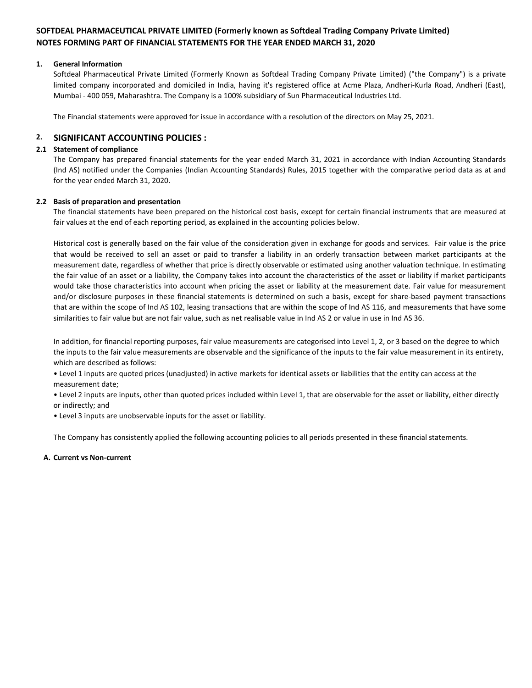# **1. General Information**

Softdeal Pharmaceutical Private Limited (Formerly Known as Softdeal Trading Company Private Limited) ("the Company") is a private limited company incorporated and domiciled in India, having it's registered office at Acme Plaza, Andheri-Kurla Road, Andheri (East), Mumbai - 400 059, Maharashtra. The Company is a 100% subsidiary of Sun Pharmaceutical Industries Ltd.

The Financial statements were approved for issue in accordance with a resolution of the directors on May 25, 2021.

# **2. SIGNIFICANT ACCOUNTING POLICIES :**

# **2.1 Statement of compliance**

The Company has prepared financial statements for the year ended March 31, 2021 in accordance with Indian Accounting Standards (Ind AS) notified under the Companies (Indian Accounting Standards) Rules, 2015 together with the comparative period data as at and for the year ended March 31, 2020.

# **2.2 Basis of preparation and presentation**

The financial statements have been prepared on the historical cost basis, except for certain financial instruments that are measured at fair values at the end of each reporting period, as explained in the accounting policies below.

Historical cost is generally based on the fair value of the consideration given in exchange for goods and services. Fair value is the price that would be received to sell an asset or paid to transfer a liability in an orderly transaction between market participants at the measurement date, regardless of whether that price is directly observable or estimated using another valuation technique. In estimating the fair value of an asset or a liability, the Company takes into account the characteristics of the asset or liability if market participants would take those characteristics into account when pricing the asset or liability at the measurement date. Fair value for measurement and/or disclosure purposes in these financial statements is determined on such a basis, except for share-based payment transactions that are within the scope of Ind AS 102, leasing transactions that are within the scope of Ind AS 116, and measurements that have some similarities to fair value but are not fair value, such as net realisable value in Ind AS 2 or value in use in Ind AS 36.

In addition, for financial reporting purposes, fair value measurements are categorised into Level 1, 2, or 3 based on the degree to which the inputs to the fair value measurements are observable and the significance of the inputs to the fair value measurement in its entirety, which are described as follows:

• Level 1 inputs are quoted prices (unadjusted) in active markets for identical assets or liabilities that the entity can access at the measurement date;

• Level 2 inputs are inputs, other than quoted prices included within Level 1, that are observable for the asset or liability, either directly or indirectly; and

• Level 3 inputs are unobservable inputs for the asset or liability.

The Company has consistently applied the following accounting policies to all periods presented in these financial statements.

# **A. Current vs Non-current**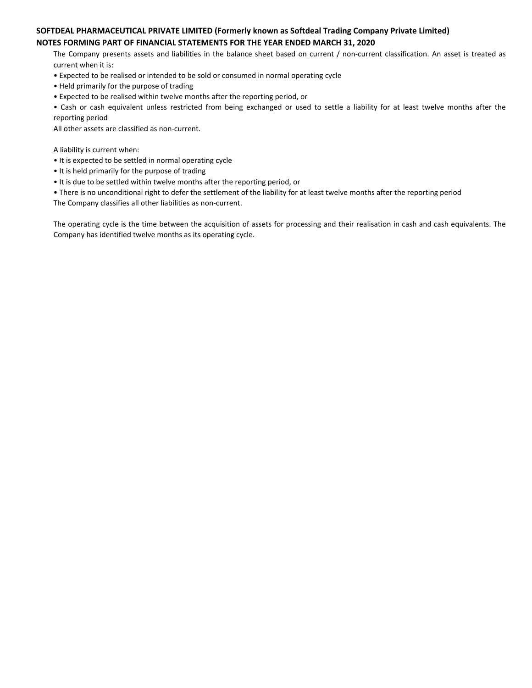The Company presents assets and liabilities in the balance sheet based on current / non-current classification. An asset is treated as current when it is:

- Expected to be realised or intended to be sold or consumed in normal operating cycle
- Held primarily for the purpose of trading
- Expected to be realised within twelve months after the reporting period, or

• Cash or cash equivalent unless restricted from being exchanged or used to settle a liability for at least twelve months after the reporting period

All other assets are classified as non-current.

A liability is current when:

- It is expected to be settled in normal operating cycle
- It is held primarily for the purpose of trading
- It is due to be settled within twelve months after the reporting period, or
- There is no unconditional right to defer the settlement of the liability for at least twelve months after the reporting period

The Company classifies all other liabilities as non-current.

The operating cycle is the time between the acquisition of assets for processing and their realisation in cash and cash equivalents. The Company has identified twelve months as its operating cycle.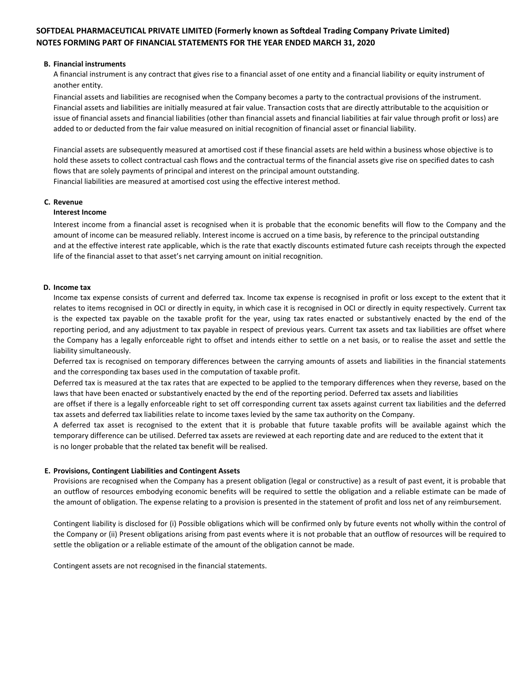# **B. Financial instruments**

A financial instrument is any contract that gives rise to a financial asset of one entity and a financial liability or equity instrument of another entity.

Financial assets and liabilities are recognised when the Company becomes a party to the contractual provisions of the instrument. Financial assets and liabilities are initially measured at fair value. Transaction costs that are directly attributable to the acquisition or issue of financial assets and financial liabilities (other than financial assets and financial liabilities at fair value through profit or loss) are added to or deducted from the fair value measured on initial recognition of financial asset or financial liability.

Financial assets are subsequently measured at amortised cost if these financial assets are held within a business whose objective is to hold these assets to collect contractual cash flows and the contractual terms of the financial assets give rise on specified dates to cash flows that are solely payments of principal and interest on the principal amount outstanding. Financial liabilities are measured at amortised cost using the effective interest method.

# **C. Revenue**

# **Interest Income**

Interest income from a financial asset is recognised when it is probable that the economic benefits will flow to the Company and the amount of income can be measured reliably. Interest income is accrued on a time basis, by reference to the principal outstanding and at the effective interest rate applicable, which is the rate that exactly discounts estimated future cash receipts through the expected life of the financial asset to that asset's net carrying amount on initial recognition.

# **D. Income tax**

Income tax expense consists of current and deferred tax. Income tax expense is recognised in profit or loss except to the extent that it relates to items recognised in OCI or directly in equity, in which case it is recognised in OCI or directly in equity respectively. Current tax is the expected tax payable on the taxable profit for the year, using tax rates enacted or substantively enacted by the end of the reporting period, and any adjustment to tax payable in respect of previous years. Current tax assets and tax liabilities are offset where the Company has a legally enforceable right to offset and intends either to settle on a net basis, or to realise the asset and settle the liability simultaneously.

Deferred tax is recognised on temporary differences between the carrying amounts of assets and liabilities in the financial statements and the corresponding tax bases used in the computation of taxable profit.

Deferred tax is measured at the tax rates that are expected to be applied to the temporary differences when they reverse, based on the laws that have been enacted or substantively enacted by the end of the reporting period. Deferred tax assets and liabilities

are offset if there is a legally enforceable right to set off corresponding current tax assets against current tax liabilities and the deferred tax assets and deferred tax liabilities relate to income taxes levied by the same tax authority on the Company.

A deferred tax asset is recognised to the extent that it is probable that future taxable profits will be available against which the temporary difference can be utilised. Deferred tax assets are reviewed at each reporting date and are reduced to the extent that it is no longer probable that the related tax benefit will be realised.

# **E. Provisions, Contingent Liabilities and Contingent Assets**

Provisions are recognised when the Company has a present obligation (legal or constructive) as a result of past event, it is probable that an outflow of resources embodying economic benefits will be required to settle the obligation and a reliable estimate can be made of the amount of obligation. The expense relating to a provision is presented in the statement of profit and loss net of any reimbursement.

Contingent liability is disclosed for (i) Possible obligations which will be confirmed only by future events not wholly within the control of the Company or (ii) Present obligations arising from past events where it is not probable that an outflow of resources will be required to settle the obligation or a reliable estimate of the amount of the obligation cannot be made.

Contingent assets are not recognised in the financial statements.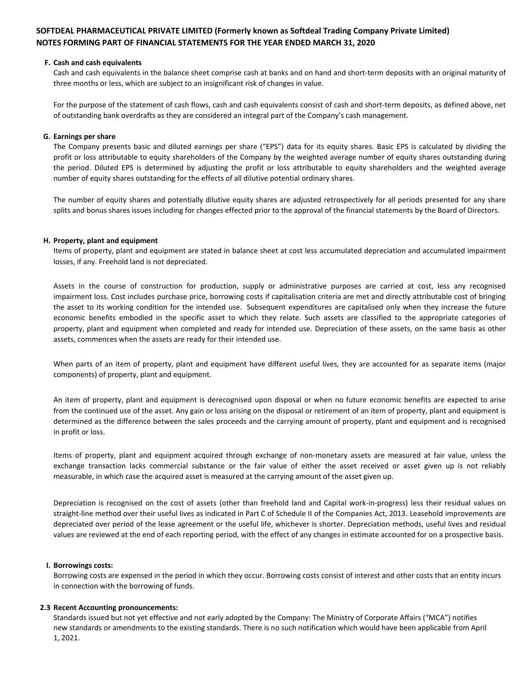# **F. Cash and cash equivalents**

Cash and cash equivalents in the balance sheet comprise cash at banks and on hand and short-term deposits with an original maturity of three months or less, which are subject to an insignificant risk of changes in value.

For the purpose of the statement of cash flows, cash and cash equivalents consist of cash and short-term deposits, as defined above, net of outstanding bank overdrafts as they are considered an integral part of the Company's cash management.

#### **G. Earnings per share**

The Company presents basic and diluted earnings per share ("EPS") data for its equity shares. Basic EPS is calculated by dividing the profit or loss attributable to equity shareholders of the Company by the weighted average number of equity shares outstanding during the period. Diluted EPS is determined by adjusting the profit or loss attributable to equity shareholders and the weighted average number of equity shares outstanding for the effects of all dilutive potential ordinary shares.

The number of equity shares and potentially dilutive equity shares are adjusted retrospectively for all periods presented for any share splits and bonus shares issues including for changes effected prior to the approval of the financial statements by the Board of Directors.

### **H. Property, plant and equipment**

Items of property, plant and equipment are stated in balance sheet at cost less accumulated depreciation and accumulated impairment losses, if any. Freehold land is not depreciated.

Assets in the course of construction for production, supply or administrative purposes are carried at cost, less any recognised impairment loss. Cost includes purchase price, borrowing costs if capitalisation criteria are met and directly attributable cost of bringing the asset to its working condition for the intended use. Subsequent expenditures are capitalised only when they increase the future economic benefits embodied in the specific asset to which they relate. Such assets are classified to the appropriate categories of property, plant and equipment when completed and ready for intended use. Depreciation of these assets, on the same basis as other assets, commences when the assets are ready for their intended use.

When parts of an item of property, plant and equipment have different useful lives, they are accounted for as separate items (major components) of property, plant and equipment.

An item of property, plant and equipment is derecognised upon disposal or when no future economic benefits are expected to arise from the continued use of the asset. Any gain or loss arising on the disposal or retirement of an item of property, plant and equipment is determined as the difference between the sales proceeds and the carrying amount of property, plant and equipment and is recognised in profit or loss.

Items of property, plant and equipment acquired through exchange of non-monetary assets are measured at fair value, unless the exchange transaction lacks commercial substance or the fair value of either the asset received or asset given up is not reliably measurable, in which case the acquired asset is measured at the carrying amount of the asset given up.

Depreciation is recognised on the cost of assets (other than freehold land and Capital work-in-progress) less their residual values on straight-line method over their useful lives as indicated in Part C of Schedule II of the Companies Act, 2013. Leasehold improvements are depreciated over period of the lease agreement or the useful life, whichever is shorter. Depreciation methods, useful lives and residual values are reviewed at the end of each reporting period, with the effect of any changes in estimate accounted for on a prospective basis.

#### **I. Borrowings costs:**

Borrowing costs are expensed in the period in which they occur. Borrowing costs consist of interest and other costs that an entity incurs in connection with the borrowing of funds.

#### **2.3 Recent Accounting pronouncements:**

Standards issued but not yet effective and not early adopted by the Company: The Ministry of Corporate Affairs ("MCA") notifies new standards or amendments to the existing standards. There is no such notification which would have been applicable from April 1, 2021.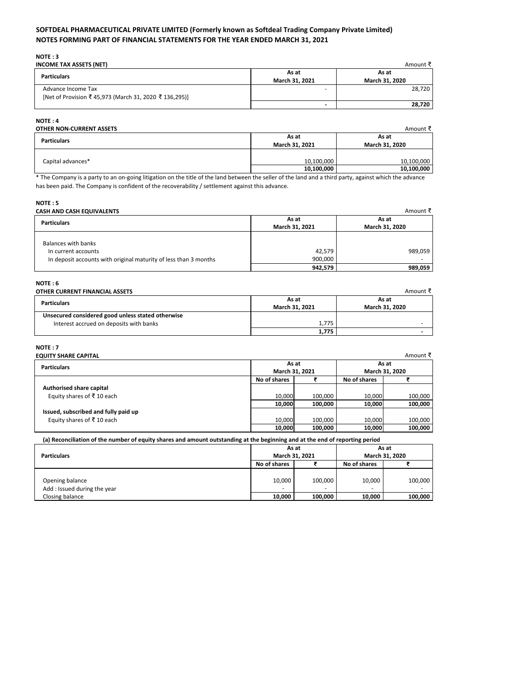#### **NOTE : 3**

| <b>INCOME TAX ASSETS (NET)</b>                         |                | Amount ₹       |  |
|--------------------------------------------------------|----------------|----------------|--|
| <b>Particulars</b>                                     | As at          | As at          |  |
|                                                        | March 31, 2021 | March 31, 2020 |  |
| Advance Income Tax                                     |                | 28.720         |  |
| [Net of Provision ₹ 45,973 (March 31, 2020 ₹ 136,295)] |                |                |  |
|                                                        | -              | 28.720         |  |

#### **NOTE : 4**

| <b>OTHER NON-CURRENT ASSETS</b> |                | Amount ₹       |
|---------------------------------|----------------|----------------|
| <b>Particulars</b>              | As at          | As at          |
|                                 | March 31, 2021 | March 31, 2020 |
|                                 |                |                |
| Capital advances*               | 10,100,000     | 10,100,000     |
|                                 | 10,100,000     | 10,100,000     |

\* The Company is a party to an on-going litigation on the title of the land between the seller of the land and a third party, against which the advance has been paid. The Company is confident of the recoverability / settlement against this advance.

#### **NOTE : 5**

| <b>CASH AND CASH EQUIVALENTS</b>                                                                               |                   | Amount ₹       |
|----------------------------------------------------------------------------------------------------------------|-------------------|----------------|
| <b>Particulars</b>                                                                                             | As at             | As at          |
|                                                                                                                | March 31, 2021    | March 31, 2020 |
| Balances with banks<br>In current accounts<br>In deposit accounts with original maturity of less than 3 months | 42.579<br>900,000 | 989.059        |
|                                                                                                                | 942,579           | 989,059        |

#### **NOTE : 6**

| OTHER CURRENT FINANCIAL ASSETS                    |                | Amount ₹       |
|---------------------------------------------------|----------------|----------------|
| <b>Particulars</b>                                | As at          | As at          |
|                                                   | March 31, 2021 | March 31, 2020 |
| Unsecured considered good unless stated otherwise |                |                |
| Interest accrued on deposits with banks           | 1,775          |                |
|                                                   | 1,775          |                |

#### **NOTE : 7**

#### **EQUITY SHARE CAPITAL No of shares ₹ No of shares ₹ Authorised share capital** Equity shares of ₹ 10 each 100,000 100,000 100,000 100,000 100,000 100,000 100,000 100,000 100,000 100,000 100,000 100,000 100,000 100,000 100,000 100,000 100,000 100,000 100,000 100,000 100,000 100,000 100,000 100,000 1 **10,000 100,000 10,000 100,000 Issued, subscribed and fully paid up** Equity shares of ₹ 10 each 100,000 100,000 100,000 100,000 100,000 100,000 100,000 100,000 100,000 100,000 100,000 100,000 100,000 100,000 100,000 100,000 100,000 100,000 100,000 100,000 100,000 100,000 100,000 100,000 10 **10,000 100,000 10,000 100,000 March 31, 2021 March 31, 2020** Amount ₹ **As at** As at<br>**Particulars**

**No of shares ₹ No of shares ₹** Opening balance 10,000 100,000 100,000 100,000 100,000 100,000 100,000 100,000 100,000 100,000 100,000 100,000 Add : Issued during the year - - - - **Closing balance As at (a) Reconciliation of the number of equity shares and amount outstanding at the beginning and at the end of reporting period Particulars March 31, 2021 As at March 31, 2020**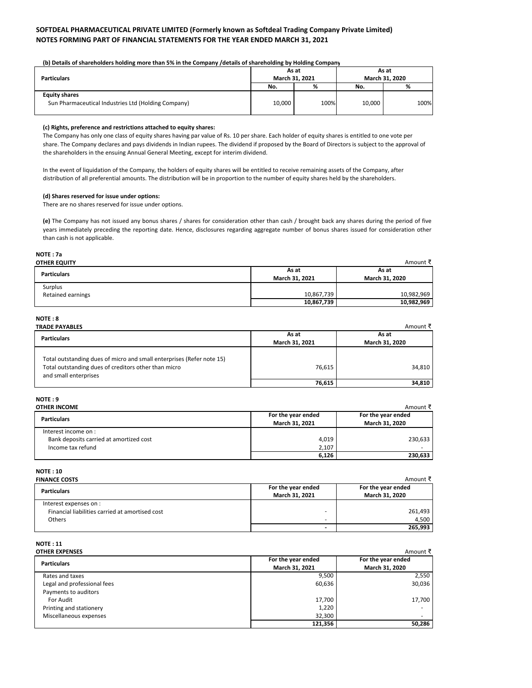#### **(b) Details of shareholders holding more than 5% in the Company /details of shareholding by Holding Company**

| <b>Particulars</b>                                                          | As at<br>March 31, 2021 |      |        | As at<br>March 31, 2020 |
|-----------------------------------------------------------------------------|-------------------------|------|--------|-------------------------|
|                                                                             | No.                     | %    | No.    | %                       |
| <b>Equity shares</b><br>Sun Pharmaceutical Industries Ltd (Holding Company) | 10,000                  | 100% | 10,000 | 100%                    |

#### **(c) Rights, preference and restrictions attached to equity shares:**

The Company has only one class of equity shares having par value of Rs. 10 per share. Each holder of equity shares is entitled to one vote per share. The Company declares and pays dividends in Indian rupees. The dividend if proposed by the Board of Directors is subject to the approval of the shareholders in the ensuing Annual General Meeting, except for interim dividend.

In the event of liquidation of the Company, the holders of equity shares will be entitled to receive remaining assets of the Company, after distribution of all preferential amounts. The distribution will be in proportion to the number of equity shares held by the shareholders.

#### **(d) Shares reserved for issue under options:**

There are no shares reserved for issue under options.

**(e)** The Company has not issued any bonus shares / shares for consideration other than cash / brought back any shares during the period of five years immediately preceding the reporting date. Hence, disclosures regarding aggregate number of bonus shares issued for consideration other than cash is not applicable.

 $\overline{a}$ 

#### **NOTE : 7a OTHER EQUITY**

| <b>UIHER EQUILY</b> |                | Amount ≺       |
|---------------------|----------------|----------------|
| <b>Particulars</b>  | As at          | As at          |
|                     | March 31, 2021 | March 31, 2020 |
| Surplus             |                |                |
| Retained earnings   | 10,867,739     | 10,982,969     |
|                     | 10,867,739     | 10,982,969     |

# **NOTE : 8**

| <b>TRADE PAYABLES</b>                                                                                                                                  |                | Amount ₹       |
|--------------------------------------------------------------------------------------------------------------------------------------------------------|----------------|----------------|
| <b>Particulars</b>                                                                                                                                     | As at          | As at          |
|                                                                                                                                                        | March 31, 2021 | March 31, 2020 |
| Total outstanding dues of micro and small enterprises (Refer note 15)<br>Total outstanding dues of creditors other than micro<br>and small enterprises | 76.615         | 34,810         |
|                                                                                                                                                        | 76,615         | 34,810         |

# **NOTE : 9**

| <b>OTHER INCOME</b>                                                                  |                                      | Amount ₹                             |
|--------------------------------------------------------------------------------------|--------------------------------------|--------------------------------------|
| <b>Particulars</b>                                                                   | For the year ended<br>March 31, 2021 | For the year ended<br>March 31, 2020 |
| Interest income on :<br>Bank deposits carried at amortized cost<br>Income tax refund | 4,019<br>2,107                       | 230,633                              |
|                                                                                      | 6,126                                | 230.633                              |

# **NOTE : 10**

| <b>FINANCE COSTS</b>                            |                                      | Amount ₹                             |
|-------------------------------------------------|--------------------------------------|--------------------------------------|
| <b>Particulars</b>                              | For the year ended<br>March 31, 2021 | For the year ended<br>March 31, 2020 |
| Interest expenses on :                          |                                      |                                      |
| Financial liabilities carried at amortised cost | -                                    | 261,493                              |
| Others                                          | -                                    | 4.500                                |
|                                                 |                                      | 265.993                              |

# **NOTE : 11**

| <b>OTHER EXPENSES</b>       |                    | Amount ₹           |
|-----------------------------|--------------------|--------------------|
|                             | For the year ended | For the year ended |
| <b>Particulars</b>          | March 31, 2021     | March 31, 2020     |
| Rates and taxes             | 9,500              | 2,550              |
| Legal and professional fees | 60,636             | 30,036             |
| Payments to auditors        |                    |                    |
| For Audit                   | 17,700             | 17,700             |
| Printing and stationery     | 1,220              |                    |
| Miscellaneous expenses      | 32,300             |                    |
|                             | 121,356            | 50.286             |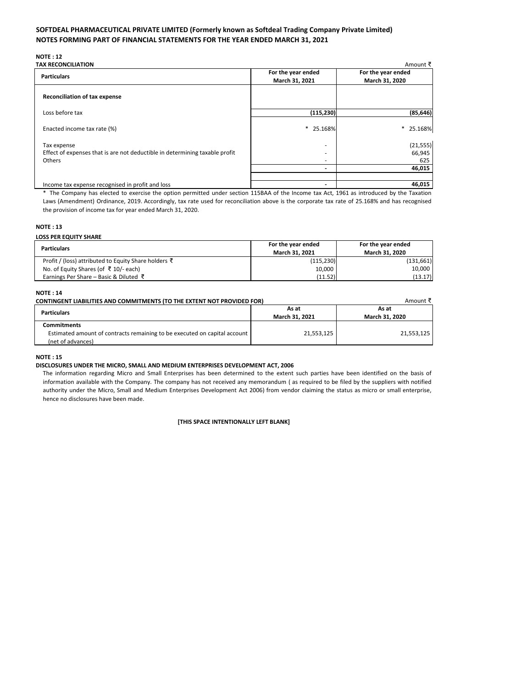#### **NOTE : 12**

| <b>TAX RECONCILIATION</b>                                                   |                          | Amount ₹           |  |
|-----------------------------------------------------------------------------|--------------------------|--------------------|--|
| <b>Particulars</b>                                                          | For the year ended       | For the year ended |  |
|                                                                             | March 31, 2021           | March 31, 2020     |  |
| <b>Reconciliation of tax expense</b>                                        |                          |                    |  |
| Loss before tax                                                             | (115, 230)               | (85, 646)          |  |
| Enacted income tax rate (%)                                                 | * 25.168%                | 25.168%<br>$\ast$  |  |
| Tax expense                                                                 | ٠                        | (21, 555)          |  |
| Effect of expenses that is are not deductible in determining taxable profit | ٠                        | 66,945             |  |
| Others                                                                      | ٠                        | 625                |  |
|                                                                             | $\overline{\phantom{0}}$ | 46,015             |  |
|                                                                             |                          |                    |  |
| Income tax expense recognised in profit and loss                            | -                        | 46,015             |  |

\* The Company has elected to exercise the option permitted under section 115BAA of the Income tax Act, 1961 as introduced by the Taxation Laws (Amendment) Ordinance, 2019. Accordingly, tax rate used for reconciliation above is the corporate tax rate of 25.168% and has recognised the provision of income tax for year ended March 31, 2020.

### **NOTE : 13**

#### **LOSS PER EQUITY SHARE**

| Particulars                                          | For the year ended<br>March 31, 2021 | For the year ended<br>March 31, 2020 |
|------------------------------------------------------|--------------------------------------|--------------------------------------|
| Profit / (loss) attributed to Equity Share holders ₹ | (115, 230)                           | (131, 661)                           |
| No. of Equity Shares (of ₹ 10/- each)                | 10,000                               | 10.000                               |
| Earnings Per Share – Basic & Diluted ₹               | (11.52)                              | (13.17)                              |

#### **NOTE : 14**

| CONTINGENT LIABILITIES AND COMMITMENTS (TO THE EXTENT NOT PROVIDED FOR)   | Amount ₹       |                |  |
|---------------------------------------------------------------------------|----------------|----------------|--|
| <b>Particulars</b>                                                        | As at          | As at          |  |
|                                                                           | March 31, 2021 | March 31, 2020 |  |
| Commitments                                                               |                |                |  |
| Estimated amount of contracts remaining to be executed on capital account | 21,553,125     | 21,553,125     |  |
| (net of advances)                                                         |                |                |  |

#### **NOTE : 15**

#### **DISCLOSURES UNDER THE MICRO, SMALL AND MEDIUM ENTERPRISES DEVELOPMENT ACT, 2006**

The information regarding Micro and Small Enterprises has been determined to the extent such parties have been identified on the basis of information available with the Company. The company has not received any memorandum ( as required to be filed by the suppliers with notified authority under the Micro, Small and Medium Enterprises Development Act 2006) from vendor claiming the status as micro or small enterprise, hence no disclosures have been made.

**[THIS SPACE INTENTIONALLY LEFT BLANK]**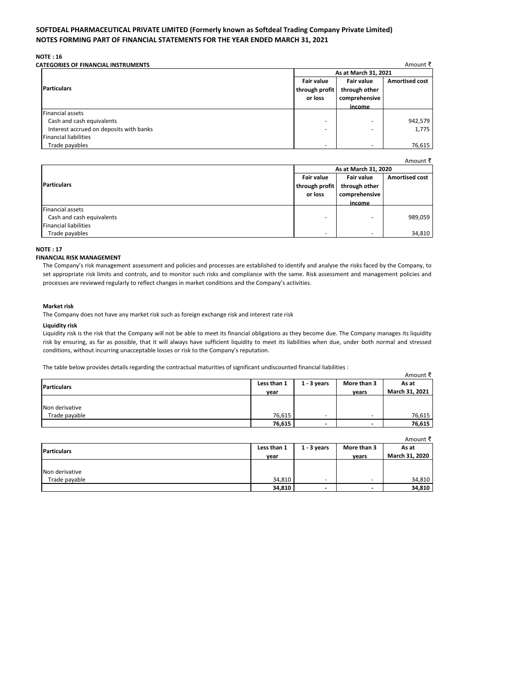#### **NOTE : 16**

| CATEGORIES OF FINANCIAL INSTRUMENTS     |                      |                   | Amount ₹              |
|-----------------------------------------|----------------------|-------------------|-----------------------|
|                                         | As at March 31, 2021 |                   |                       |
|                                         | <b>Fair value</b>    | <b>Fair value</b> | <b>Amortised cost</b> |
| <b>Particulars</b>                      | through profit       | through other     |                       |
|                                         | or loss              | comprehensive     |                       |
|                                         |                      | income            |                       |
| Financial assets                        |                      |                   |                       |
| Cash and cash equivalents               |                      | ۰                 | 942,579               |
| Interest accrued on deposits with banks |                      | ۰                 | 1,775                 |
| <b>Financial liabilities</b>            |                      |                   |                       |
| Trade payables                          |                      | ۰                 | 76,615                |

Amount ₹

|                              |                   | As at March 31, 2020     |                       |  |
|------------------------------|-------------------|--------------------------|-----------------------|--|
|                              | <b>Fair value</b> | <b>Fair value</b>        | <b>Amortised cost</b> |  |
| <b>Particulars</b>           | through profit    | through other            |                       |  |
|                              | or loss           | comprehensive            |                       |  |
|                              |                   | income                   |                       |  |
| <b>Financial assets</b>      |                   |                          |                       |  |
| Cash and cash equivalents    | ۰                 | $\overline{\phantom{a}}$ | 989,059               |  |
| <b>Financial liabilities</b> |                   |                          |                       |  |
| Trade payables               | ۰                 | $\overline{\phantom{a}}$ | 34,810                |  |

#### **NOTE : 17**

#### **FINANCIAL RISK MANAGEMENT**

The Company's risk management assessment and policies and processes are established to identify and analyse the risks faced by the Company, to set appropriate risk limits and controls, and to monitor such risks and compliance with the same. Risk assessment and management policies and processes are reviewed regularly to reflect changes in market conditions and the Company's activities.

#### **Market risk**

The Company does not have any market risk such as foreign exchange risk and interest rate risk

#### **Liquidity risk**

Liquidity risk is the risk that the Company will not be able to meet its financial obligations as they become due. The Company manages its liquidity risk by ensuring, as far as possible, that it will always have sufficient liquidity to meet its liabilities when due, under both normal and stressed conditions, without incurring unacceptable losses or risk to the Company's reputation.

The table below provides details regarding the contractual maturities of significant undiscounted financial liabilities :

|                    |             |               |             | Amount ₹       |
|--------------------|-------------|---------------|-------------|----------------|
| <b>Particulars</b> | Less than 1 | $1 - 3$ years | More than 3 | As at          |
|                    | year        |               | years       | March 31, 2021 |
|                    |             |               |             |                |
| Non derivative     |             |               |             |                |
| Trade payable      | 76,615      |               |             | 76,615         |
|                    | 76,615      | $\,$          | -           | 76,615         |

|                    |             |               |                          | Amount ₹       |
|--------------------|-------------|---------------|--------------------------|----------------|
| <b>Particulars</b> | Less than 1 | $1 - 3$ years | More than 3              | As at          |
|                    | year        |               | vears                    | March 31, 2020 |
|                    |             |               |                          |                |
| Non derivative     |             |               |                          |                |
| Trade payable      | 34,810      |               | $\overline{\phantom{a}}$ | 34,810         |
|                    | 34,810      | -             |                          | 34,810         |